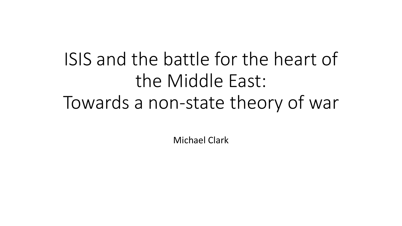# ISIS and the battle for the heart of the Middle East: Towards a non-state theory of war

Michael Clark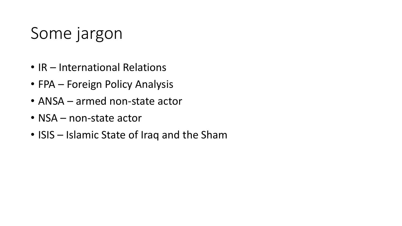### Some jargon

- IR International Relations
- FPA Foreign Policy Analysis
- ANSA armed non-state actor
- NSA non-state actor
- ISIS Islamic State of Iraq and the Sham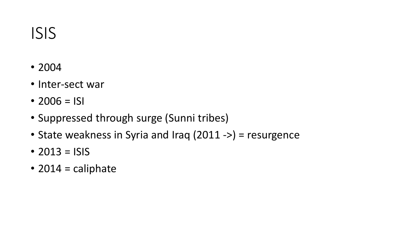#### ISIS

- 2004
- Inter-sect war
- $2006 = 151$
- Suppressed through surge (Sunni tribes)
- State weakness in Syria and Iraq (2011 ->) = resurgence
- 2013 =  $|S|$
- $\cdot$  2014 = caliphate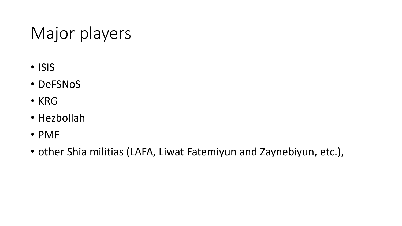## Major players

- ISIS
- DeFSNoS
- KRG
- Hezbollah
- PMF
- other Shia militias (LAFA, Liwat Fatemiyun and Zaynebiyun, etc.),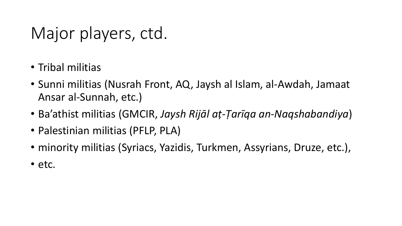### Major players, ctd.

- Tribal militias
- Sunni militias (Nusrah Front, AQ, Jaysh al Islam, al-Awdah, Jamaat Ansar al-Sunnah, etc.)
- Ba'athist militias (GMCIR, *Jaysh Rijāl aṭ-Ṭarīqa an-Naqshabandiya*)
- Palestinian militias (PFLP, PLA)
- minority militias (Syriacs, Yazidis, Turkmen, Assyrians, Druze, etc.),
- etc.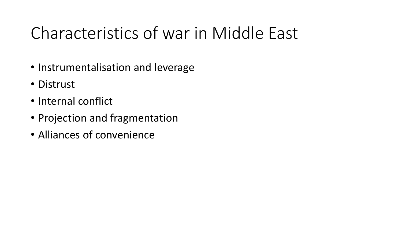### Characteristics of war in Middle East

- Instrumentalisation and leverage
- Distrust
- Internal conflict
- Projection and fragmentation
- Alliances of convenience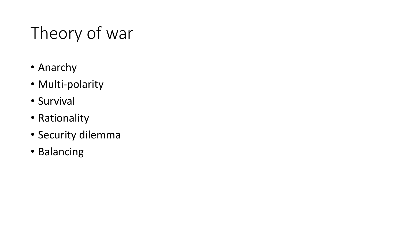# Theory of war

- Anarchy
- Multi-polarity
- Survival
- Rationality
- Security dilemma
- Balancing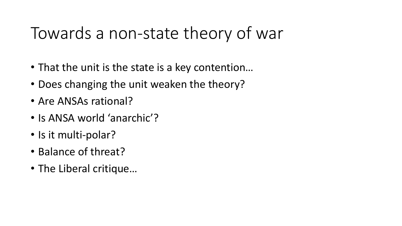### Towards a non-state theory of war

- That the unit is the state is a key contention…
- Does changing the unit weaken the theory?
- Are ANSAs rational?
- Is ANSA world 'anarchic'?
- Is it multi-polar?
- Balance of threat?
- The Liberal critique…